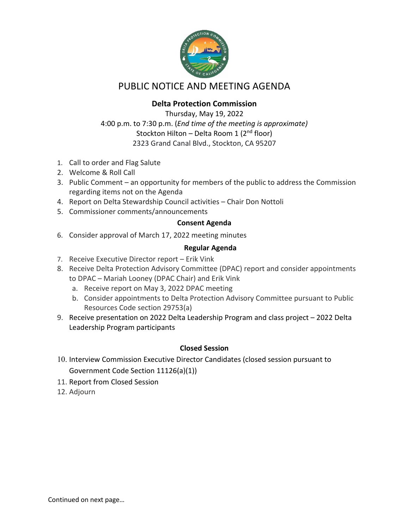

# PUBLIC NOTICE AND MEETING AGENDA

## **Delta Protection Commission**

Thursday, May 19, 2022 4:00 p.m. to 7:30 p.m. (*End time of the meeting is approximate)* Stockton Hilton – Delta Room 1 ( $2<sup>nd</sup>$  floor) 2323 Grand Canal Blvd., Stockton, CA 95207

- 1. Call to order and Flag Salute
- 2. Welcome & Roll Call
- 3. Public Comment an opportunity for members of the public to address the Commission regarding items not on the Agenda
- 4. Report on Delta Stewardship Council activities Chair Don Nottoli
- 5. Commissioner comments/announcements

### **Consent Agenda**

6. Consider approval of March 17, 2022 meeting minutes

### **Regular Agenda**

- 7. Receive Executive Director report Erik Vink
- 8. Receive Delta Protection Advisory Committee (DPAC) report and consider appointments to DPAC – Mariah Looney (DPAC Chair) and Erik Vink
	- a. Receive report on May 3, 2022 DPAC meeting
	- b. Consider appointments to Delta Protection Advisory Committee pursuant to Public Resources Code section 29753(a)
- 9. Receive presentation on 2022 Delta Leadership Program and class project 2022 Delta Leadership Program participants

### **Closed Session**

- 10. Interview Commission Executive Director Candidates (closed session pursuant to Government Code Section 11126(a)(1))
- 11. Report from Closed Session
- 12. Adjourn